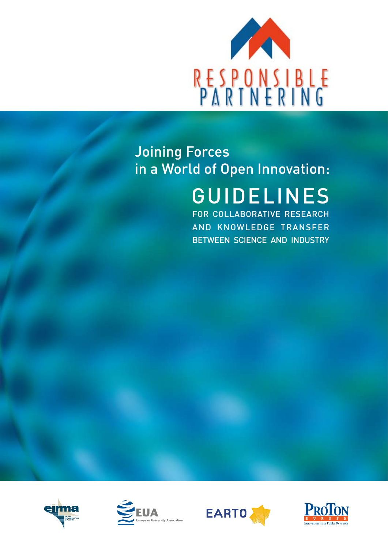

# Joining Forces in a World of Open Innovation:

# GUIDELINES

FOR COLLABORATIVE RESEARCH AND KNOWLEDGE TRANSFER BETWEEN SCIENCE AND INDUSTRY







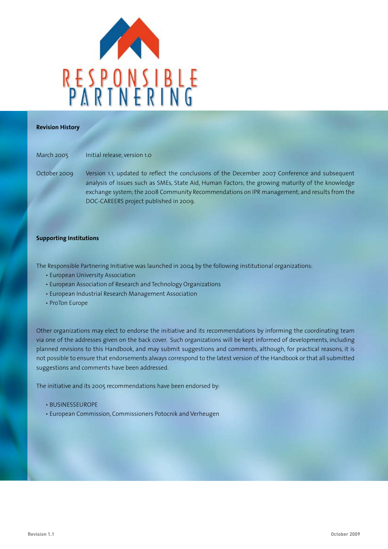

#### **Revision History**

March 2005 Initial release, version 1.0

October 2009 Version 1.1, updated to reflect the conclusions of the December 2007 Conference and subsequent analysis of issues such as SMEs, State Aid, Human Factors; the growing maturity of the knowledge exchange system; the 2008 Community Recommendations on IPR management; and results from the DOC-CAREERS project published in 2009.

#### **Supporting Institutions**

The Responsible Partnering Initiative was launched in 2004 by the following institutional organizations:

- European University Association
- European Association of Research and Technology Organizations
- European Industrial Research Management Association
- ProTon Europe

Other organizations may elect to endorse the initiative and its recommendations by informing the coordinating team via one of the addresses given on the back cover. Such organizations will be kept informed of developments, including planned revisions to this Handbook, and may submit suggestions and comments, although, for practical reasons, it is not possible to ensure that endorsements always correspond to the latest version of the Handbook or that all submitted suggestions and comments have been addressed.

The initiative and its 2005 recommendations have been endorsed by:

- • BUSINESSEUROPE
- European Commission, Commissioners Potocnik and Verheugen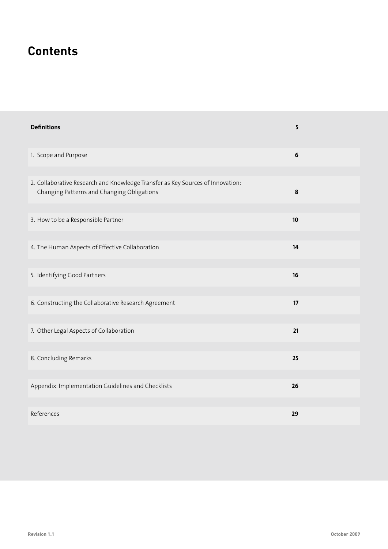### **Contents**

| <b>Definitions</b>                                                                                                           | 5                |
|------------------------------------------------------------------------------------------------------------------------------|------------------|
| 1. Scope and Purpose                                                                                                         | $\boldsymbol{6}$ |
| 2. Collaborative Research and Knowledge Transfer as Key Sources of Innovation:<br>Changing Patterns and Changing Obligations | $\pmb{8}$        |
| 3. How to be a Responsible Partner                                                                                           | 10               |
| 4. The Human Aspects of Effective Collaboration                                                                              | 14               |
| 5. Identifying Good Partners                                                                                                 | 16               |
| 6. Constructing the Collaborative Research Agreement                                                                         | 17               |
| 7. Other Legal Aspects of Collaboration                                                                                      | 21               |
| 8. Concluding Remarks                                                                                                        | 25               |
| Appendix: Implementation Guidelines and Checklists                                                                           | 26               |
| References                                                                                                                   | 29               |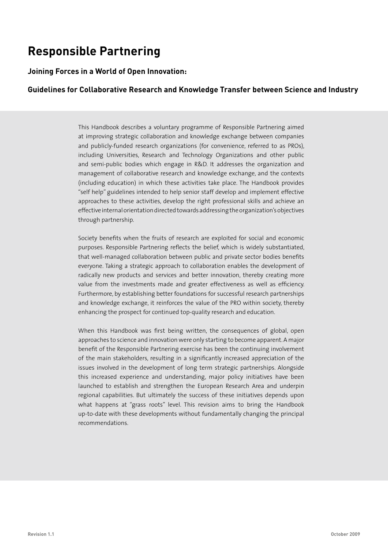### **Responsible Partnering**

#### **Joining Forces in a World of Open Innovation:**

#### **Guidelines for Collaborative Research and Knowledge Transfer between Science and Industry**

This Handbook describes a voluntary programme of Responsible Partnering aimed at improving strategic collaboration and knowledge exchange between companies and publicly-funded research organizations (for convenience, referred to as PROs), including Universities, Research and Technology Organizations and other public and semi-public bodies which engage in R&D. It addresses the organization and management of collaborative research and knowledge exchange, and the contexts (including education) in which these activities take place. The Handbook provides "self help" guidelines intended to help senior staff develop and implement effective approaches to these activities, develop the right professional skills and achieve an effective internal orientation directed towards addressing the organization's objectives through partnership.

Society benefits when the fruits of research are exploited for social and economic purposes. Responsible Partnering reflects the belief, which is widely substantiated, that well-managed collaboration between public and private sector bodies benefits everyone. Taking a strategic approach to collaboration enables the development of radically new products and services and better innovation, thereby creating more value from the investments made and greater effectiveness as well as efficiency. Furthermore, by establishing better foundations for successful research partnerships and knowledge exchange, it reinforces the value of the PRO within society, thereby enhancing the prospect for continued top-quality research and education.

When this Handbook was first being written, the consequences of global, open approaches to science and innovation were only starting to become apparent.A major benefit of the Responsible Partnering exercise has been the continuing involvement of the main stakeholders, resulting in a significantly increased appreciation of the issues involved in the development of long term strategic partnerships. Alongside this increased experience and understanding, major policy initiatives have been launched to establish and strengthen the European Research Area and underpin regional capabilities. But ultimately the success of these initiatives depends upon what happens at "grass roots" level. This revision aims to bring the Handbook up-to-date with these developments without fundamentally changing the principal recommendations.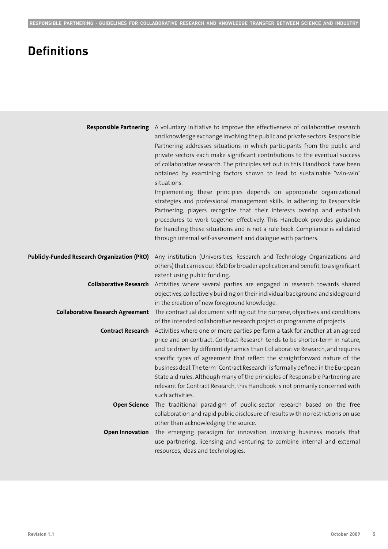### **Definitions**

|                                                    | Responsible Partnering A voluntary initiative to improve the effectiveness of collaborative research<br>and knowledge exchange involving the public and private sectors. Responsible<br>Partnering addresses situations in which participants from the public and<br>private sectors each make significant contributions to the eventual success<br>of collaborative research. The principles set out in this Handbook have been<br>obtained by examining factors shown to lead to sustainable "win-win"<br>situations.<br>Implementing these principles depends on appropriate organizational<br>strategies and professional management skills. In adhering to Responsible<br>Partnering, players recognize that their interests overlap and establish<br>procedures to work together effectively. This Handbook provides guidance<br>for handling these situations and is not a rule book. Compliance is validated<br>through internal self-assessment and dialogue with partners. |
|----------------------------------------------------|--------------------------------------------------------------------------------------------------------------------------------------------------------------------------------------------------------------------------------------------------------------------------------------------------------------------------------------------------------------------------------------------------------------------------------------------------------------------------------------------------------------------------------------------------------------------------------------------------------------------------------------------------------------------------------------------------------------------------------------------------------------------------------------------------------------------------------------------------------------------------------------------------------------------------------------------------------------------------------------|
| <b>Publicly-Funded Research Organization (PRO)</b> | Any institution (Universities, Research and Technology Organizations and<br>others) that carries out R&D for broader application and benefit, to a significant<br>extent using public funding.                                                                                                                                                                                                                                                                                                                                                                                                                                                                                                                                                                                                                                                                                                                                                                                       |
|                                                    | Collaborative Research Activities where several parties are engaged in research towards shared<br>objectives, collectively building on their individual background and sideground<br>in the creation of new foreground knowledge.                                                                                                                                                                                                                                                                                                                                                                                                                                                                                                                                                                                                                                                                                                                                                    |
| <b>Collaborative Research Agreement</b>            | The contractual document setting out the purpose, objectives and conditions<br>of the intended collaborative research project or programme of projects.                                                                                                                                                                                                                                                                                                                                                                                                                                                                                                                                                                                                                                                                                                                                                                                                                              |
|                                                    | <b>Contract Research</b> Activities where one or more parties perform a task for another at an agreed<br>price and on contract. Contract Research tends to be shorter-term in nature,<br>and be driven by different dynamics than Collaborative Research, and requires<br>specific types of agreement that reflect the straightforward nature of the<br>business deal. The term "Contract Research" is formally defined in the European<br>State aid rules. Although many of the principles of Responsible Partnering are<br>relevant for Contract Research, this Handbook is not primarily concerned with<br>such activities.                                                                                                                                                                                                                                                                                                                                                       |
| <b>Open Science</b>                                | The traditional paradigm of public-sector research based on the free<br>collaboration and rapid public disclosure of results with no restrictions on use<br>other than acknowledging the source.                                                                                                                                                                                                                                                                                                                                                                                                                                                                                                                                                                                                                                                                                                                                                                                     |
| <b>Open Innovation</b>                             | The emerging paradigm for innovation, involving business models that<br>use partnering, licensing and venturing to combine internal and external<br>resources, ideas and technologies.                                                                                                                                                                                                                                                                                                                                                                                                                                                                                                                                                                                                                                                                                                                                                                                               |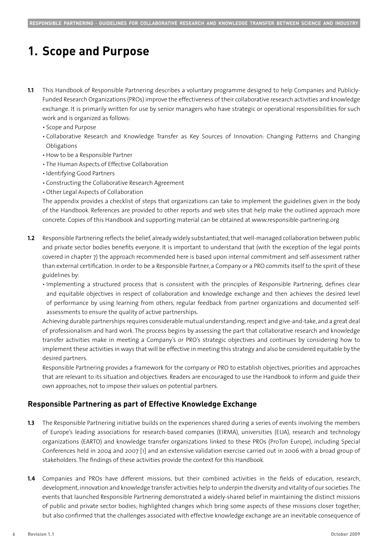### **1. Scope and Purpose**

- **1.1** This Handbook of Responsible Partnering describes a voluntary programme designed to help Companies and Publicly-Funded Research Organizations (PROs) improve the effectiveness of their collaborative research activities and knowledge exchange. It is primarily written for use by senior managers who have strategic or operational responsibilities for such work and is organized as follows:
	- • Scope and Purpose
	- • Collaborative Research and Knowledge Transfer as Key Sources of Innovation: Changing Patterns and Changing Obligations
	- How to be a Responsible Partner
	- The Human Aspects of Effective Collaboration
	- • Identifying Good Partners
	- • Constructing the Collaborative Research Agreement
	- Other Legal Aspects of Collaboration

 The appendix provides a checklist of steps that organizations can take to implement the guidelines given in the body of the Handbook. References are provided to other reports and web sites that help make the outlined approach more concrete. Copies of this Handbook and supporting material can be obtained at www.responsible-partnering.org

- 1.2 Responsible Partnering reflects the belief, already widely substantiated, that well-managed collaboration between public and private sector bodies benefits everyone. It is important to understand that (with the exception of the legal points covered in chapter 7) the approach recommended here is based upon internal commitment and self-assessment rather than external certification. In order to be a Responsible Partner, a Company or a PRO commits itself to the spirit of these guidelines by:
	- Implementing a structured process that is consistent with the principles of Responsible Partnering, defines clear and equitable objectives in respect of collaboration and knowledge exchange and then achieves the desired level of performance by using learning from others, regular feedback from partner organizations and documented selfassessments to ensure the quality of active partnerships.

Achieving durable partnerships requires considerable mutual understanding, respect and give-and-take, and a great deal of professionalism and hard work. The process begins by assessing the part that collaborative research and knowledge transfer activities make in meeting a Company's or PRO's strategic objectives and continues by considering how to implement these activities in ways that will be effective in meeting this strategy and also be considered equitable by the desired partners.

 Responsible Partnering provides a framework for the company or PRO to establish objectives, priorities and approaches that are relevant to its situation and objectives. Readers are encouraged to use the Handbook to inform and guide their own approaches, not to impose their values on potential partners.

#### **Responsible Partnering as part of Effective Knowledge Exchange**

- **1.3** The Responsible Partnering initiative builds on the experiences shared during a series of events involving the members of Europe's leading associations for research-based companies (EIRMA), universities (EUA), research and technology organizations (EARTO) and knowledge transfer organizations linked to these PROs (ProTon Europe), including Special Conferences held in 2004 and 2007 [1] and an extensive validation exercise carried out in 2006 with a broad group of stakeholders. The findings of these activities provide the context for this Handbook.
- **1.4** Companies and PROs have different missions, but their combined activities in the fields of education, research, development, innovation and knowledge transfer activities help to underpin the diversity and vitality of our societies. The events that launched Responsible Partnering demonstrated a widely-shared belief in maintaining the distinct missions of public and private sector bodies; highlighted changes which bring some aspects of these missions closer together; but also confirmed that the challenges associated with effective knowledge exchange are an inevitable consequence of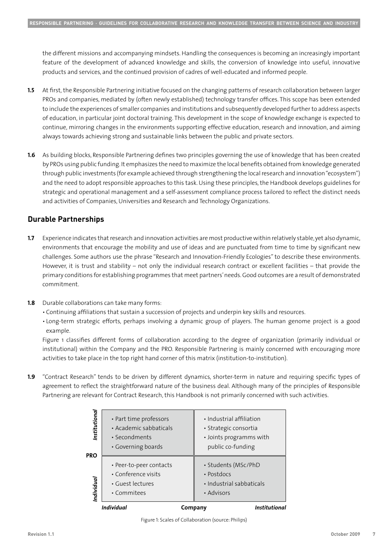the different missions and accompanying mindsets. Handling the consequences is becoming an increasingly important feature of the development of advanced knowledge and skills, the conversion of knowledge into useful, innovative products and services, and the continued provision of cadres of well-educated and informed people.

- **1.5** At first, the Responsible Partnering initiative focused on the changing patterns of research collaboration between larger PROs and companies, mediated by (often newly established) technology transfer offices. This scope has been extended to include the experiences of smaller companies and institutions and subsequently developed further to address aspects of education, in particular joint doctoral training. This development in the scope of knowledge exchange is expected to continue, mirroring changes in the environments supporting effective education, research and innovation, and aiming always towards achieving strong and sustainable links between the public and private sectors.
- **1.6** As building blocks, Responsible Partnering defines two principles governing the use of knowledge that has been created by PROs using public funding. It emphasizes the need to maximize the local benefits obtained from knowledge generated through public investments (for example achieved through strengthening the local research and innovation "ecosystem") and the need to adopt responsible approaches to this task. Using these principles,the Handbook develops guidelines for strategic and operational management and a self-assessment compliance process tailored to reflect the distinct needs and activities of Companies, Universities and Research and Technology Organizations.

#### **Durable Partnerships**

- 1.7 Experience indicates that research and innovation activities are most productive within relatively stable, yet also dynamic, environments that encourage the mobility and use of ideas and are punctuated from time to time by significant new challenges. Some authors use the phrase "Research and Innovation-Friendly Ecologies"to describe these environments. However, it is trust and stability – not only the individual research contract or excellent facilities – that provide the primary conditions for establishing programmes that meet partners'needs.Good outcomes are a result of demonstrated commitment.
- **1.8** Durable collaborations can take many forms:
	- • Continuing affiliations that sustain a succession of projects and underpin key skills and resources.
	- • Long-term strategic efforts, perhaps involving a dynamic group of players. The human genome project is a good example.

 Figure 1 classifies different forms of collaboration according to the degree of organization (primarily individual or institutional) within the Company and the PRO. Responsible Partnering is mainly concerned with encouraging more activities to take place in the top right hand corner of this matrix (institution-to-institution).

**1.9** "Contract Research" tends to be driven by different dynamics, shorter-term in nature and requiring specific types of agreement to reflect the straightforward nature of the business deal. Although many of the principles of Responsible Partnering are relevant for Contract Research, this Handbook is not primarily concerned with such activities.

|               | <b>Individual</b>                                                                       | Institutional<br>Company                                                                          |
|---------------|-----------------------------------------------------------------------------------------|---------------------------------------------------------------------------------------------------|
| Individual    | • Peer-to-peer contacts<br>• Conference visits<br>• Guest lectures<br>• Commitees       | • Students (MSc/PhD<br>• Postdocs<br>· Industrial sabbaticals<br>• Advisors                       |
| <b>PRO</b>    |                                                                                         |                                                                                                   |
| Institutional | • Part time professors<br>• Academic sabbaticals<br>• Secondments<br>• Governing boards | • Industrial affiliation<br>· Strategic consortia<br>· Joints programms with<br>public co-funding |

Figure 1: Scales of Collaboration (source: Philips)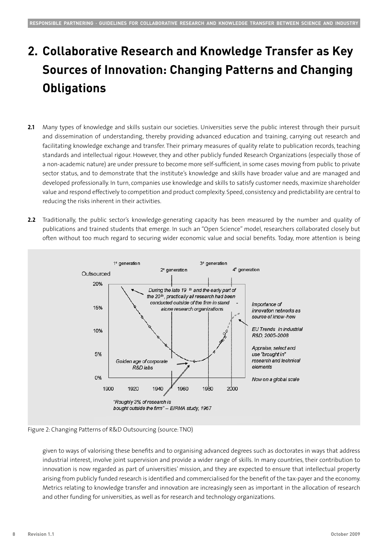# **2. Collaborative Research and Knowledge Transfer as Key Sources of Innovation: Changing Patterns and Changing Obligations**

- **2.1** Many types of knowledge and skills sustain our societies. Universities serve the public interest through their pursuit and dissemination of understanding, thereby providing advanced education and training, carrying out research and facilitating knowledge exchange and transfer. Their primary measures of quality relate to publication records, teaching standards and intellectual rigour. However, they and other publicly funded Research Organizations (especially those of a non-academic nature) are under pressure to become more self-sufficient, in some cases moving from public to private sector status, and to demonstrate that the institute's knowledge and skills have broader value and are managed and developed professionally. In turn, companies use knowledge and skills to satisfy customer needs, maximize shareholder value and respond effectively to competition and product complexity. Speed, consistency and predictability are central to reducing the risks inherent in their activities.
- **2.2** Traditionally, the public sector's knowledge-generating capacity has been measured by the number and quality of publications and trained students that emerge. In such an "Open Science" model, researchers collaborated closely but often without too much regard to securing wider economic value and social benefits. Today, more attention is being





given to ways of valorising these benefits and to organising advanced degrees such as doctorates in ways that address industrial interest, involve joint supervision and provide a wider range of skills. In many countries, their contribution to innovation is now regarded as part of universities' mission, and they are expected to ensure that intellectual property arising from publicly funded research is identified and commercialised for the benefit of the tax-payer and the economy. Metrics relating to knowledge transfer and innovation are increasingly seen as important in the allocation of research and other funding for universities, as well as for research and technology organizations.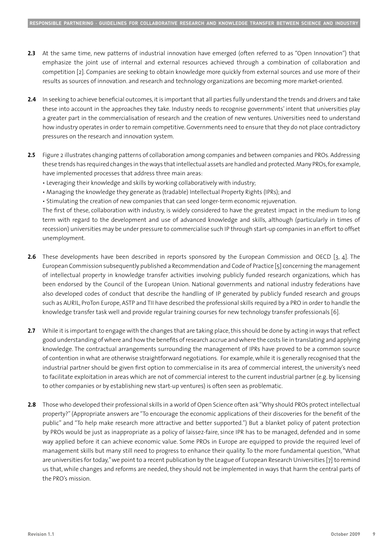- 2.3 At the same time, new patterns of industrial innovation have emerged (often referred to as "Open Innovation") that emphasize the joint use of internal and external resources achieved through a combination of collaboration and competition [2]. Companies are seeking to obtain knowledge more quickly from external sources and use more of their results as sources of innovation. and research and technology organizations are becoming more market-oriented.
- **2.4** In seeking to achieve beneficial outcomes, it is important that all parties fully understand the trends and drivers and take these into account in the approaches they take. Industry needs to recognise governments' intent that universities play a greater part in the commercialisation of research and the creation of new ventures. Universities need to understand how industry operates in order to remain competitive.Governments need to ensure that they do not place contradictory pressures on the research and innovation system.
- **2.5** Figure 2 illustrates changing patterns of collaboration among companies and between companies and PROs. Addressing these trends has required changes in the ways that intellectual assets are handled and protected. Many PROs, for example, have implemented processes that address three main areas:
	- Leveraging their knowledge and skills by working collaboratively with industry;
	- Managing the knowledge they generate as (tradable) Intellectual Property Rights (IPRs); and
	- Stimulating the creation of new companies that can seed longer-term economic rejuvenation.

 The first of these, collaboration with industry, is widely considered to have the greatest impact in the medium to long term with regard to the development and use of advanced knowledge and skills, although (particularly in times of recession) universities may be under pressure to commercialise such IP through start-up companies in an effort to offset unemployment.

- **2.6** These developments have been described in reports sponsored by the European Commission and OECD [3, 4]. The European Commission subsequently published a Recommendation and Code of Practice [5] concerning the management of intellectual property in knowledge transfer activities involving publicly funded research organizations, which has been endorsed by the Council of the European Union. National governments and national industry federations have also developed codes of conduct that describe the handling of IP generated by publicly funded research and groups such as AURIL, ProTon Europe, ASTP and TII have described the professional skills required by a PRO in order to handle the knowledge transfer task well and provide regular training courses for new technology transfer professionals [6].
- **2.7** While it is important to engage with the changes that are taking place, this should be done by acting in ways that reflect good understanding of where and how the benefits ofresearch accrue and where the costs lie in translating and applying knowledge. The contractual arrangements surrounding the management of IPRs have proved to be a common source of contention in what are otherwise straightforward negotiations. For example, while it is generally recognised that the industrial partner should be given first option to commercialise in its area of commercial interest, the university's need to facilitate exploitation in areas which are not of commercial interest to the current industrial partner (e.g. by licensing to other companies or by establishing new start-up ventures) is often seen as problematic.
- **2.8** Those who developed their professional skills in a world of Open Science often ask "Why should PROs protect intellectual property?"(Appropriate answers are "To encourage the economic applications of their discoveries for the benefit of the public" and "To help make research more attractive and better supported.") But a blanket policy of patent protection by PROs would be just as inappropriate as a policy of laissez-faire, since IPR has to be managed, defended and in some way applied before it can achieve economic value. Some PROs in Europe are equipped to provide the required level of management skills but many still need to progress to enhance their quality. To the more fundamental question,"What are universities for today,"we point to a recent publication by the League of European Research Universities [7] to remind us that, while changes and reforms are needed, they should not be implemented in ways that harm the central parts of the PRO's mission.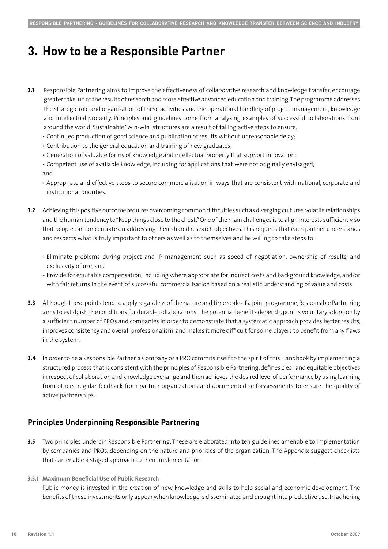### **3. How to be a Responsible Partner**

- **3.1** Responsible Partnering aims to improve the effectiveness of collaborative research and knowledge transfer, encourage greatertake-up ofthe results ofresearch and more effective advanced education and training.The programme addresses the strategic role and organization of these activities and the operational handling of project management, knowledge and intellectual property. Principles and guidelines come from analysing examples of successful collaborations from around the world. Sustainable "win-win" structures are a result of taking active steps to ensure:
	- Continued production of good science and publication of results without unreasonable delay;
	- Contribution to the general education and training of new graduates;
	- Generation of valuable forms of knowledge and intellectual property that support innovation;
	- Competent use of available knowledge, including for applications that were not originally envisaged; and
	- Appropriate and effective steps to secure commercialisation in ways that are consistent with national, corporate and institutional priorities.
- **3.2** Achieving this positive outcome requires overcoming common difficulties such as diverging cultures, volatile relationships and the human tendency to "keep things close to the chest." One of the main challenges is to align interests sufficiently, so that people can concentrate on addressing their shared research objectives.This requires that each partner understands and respects what is truly important to others as well as to themselves and be willing to take steps to:
	- Eliminate problems during project and IP management such as speed of negotiation, ownership of results, and exclusivity of use; and
	- Provide for equitable compensation, including where appropriate for indirect costs and background knowledge, and/or with fair returns in the event of successful commercialisation based on a realistic understanding of value and costs.
- **3.3** Although these points tend to apply regardless of the nature and time scale of a joint programme, Responsible Partnering aims to establish the conditions for durable collaborations.The potential benefits depend upon its voluntary adoption by a sufficient number of PROs and companies in order to demonstrate that a systematic approach provides better results, improves consistency and overall professionalism, and makes it more difficult for some players to benefit from any flaws in the system.
- **3.4** In order to be a Responsible Partner, a Company or a PRO commits itself to the spirit of this Handbook by implementing a structured process that is consistent with the principles of Responsible Partnering, defines clear and equitable objectives in respect of collaboration and knowledge exchange and then achieves the desired level of performance by using learning from others, regular feedback from partner organizations and documented self-assessments to ensure the quality of active partnerships.

#### **Principles Underpinning Responsible Partnering**

**3.5** Two principles underpin Responsible Partnering. These are elaborated into ten guidelines amenable to implementation by companies and PROs, depending on the nature and priorities of the organization. The Appendix suggest checklists that can enable a staged approach to their implementation.

#### **3.5.1 Maximum Beneficial Use of Public Research**

 Public money is invested in the creation of new knowledge and skills to help social and economic development. The benefits of these investments only appear when knowledge is disseminated and brought into productive use. In adhering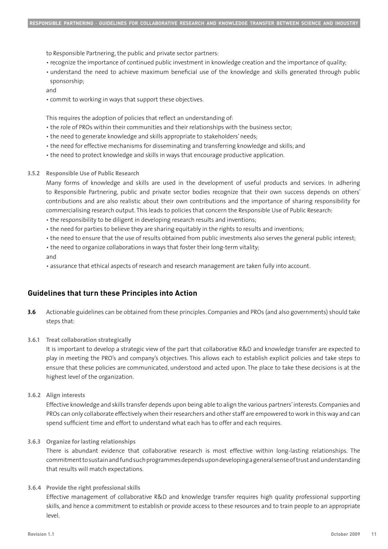to Responsible Partnering, the public and private sector partners:

- recognize the importance of continued public investment in knowledge creation and the importance of quality;
- understand the need to achieve maximum beneficial use of the knowledge and skills generated through public sponsorship;
- and
- commit to working in ways that support these objectives.

 This requires the adoption of policies that reflect an understanding of:

- the role of PROs within their communities and their relationships with the business sector;
- the need to generate knowledge and skills appropriate to stakeholders' needs;
- the need for effective mechanisms for disseminating and transferring knowledge and skills; and
- the need to protect knowledge and skills in ways that encourage productive application.
- **3.5.2 Responsible Use of Public Research**

 Many forms of knowledge and skills are used in the development of useful products and services. In adhering to Responsible Partnering, public and private sector bodies recognize that their own success depends on others' contributions and are also realistic about their own contributions and the importance of sharing responsibility for commercialising research output. This leads to policies that concern the Responsible Use of Public Research:

- the responsibility to be diligent in developing research results and inventions;
- the need for parties to believe they are sharing equitably in the rights to results and inventions;
- the need to ensure that the use of results obtained from public investments also serves the general public interest;
- the need to organize collaborations in ways that foster their long-term vitality;

 and

 • assurance that ethical aspects of research and research management are taken fully into account.

#### **Guidelines that turn these Principles into Action**

- **3.6** Actionable guidelines can be obtained from these principles. Companies and PROs (and also governments) should take steps that:
- **3.6.1 Treat collaboration strategically**

 It is important to develop a strategic view of the part that collaborative R&D and knowledge transfer are expected to play in meeting the PRO's and company's objectives. This allows each to establish explicit policies and take steps to ensure that these policies are communicated, understood and acted upon. The place to take these decisions is at the highest level of the organization.

**3.6.2 Align interests**

 Effective knowledge and skills transfer depends upon being able to align the various partners'interests.Companies and PROs can only collaborate effectively when their researchers and other staff are empowered to work in this way and can spend sufficient time and effort to understand what each has to offer and each requires.

**3.6.3 Organize for lasting relationships**

 There is abundant evidence that collaborative research is most effective within long-lasting relationships. The commitmenttosustainandfundsuchprogrammesdependsupondevelopingageneralsenseoftrustandunderstanding that results will match expectations.

#### **3.6.4 Provide the right professional skills**

 Effective management of collaborative R&D and knowledge transfer requires high quality professional supporting skills, and hence a commitment to establish or provide access to these resources and to train people to an appropriate level.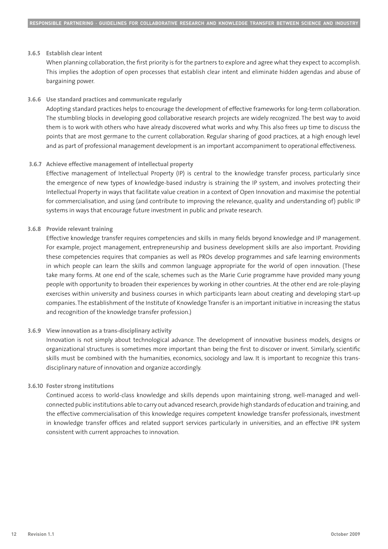#### **3.6.5 Establish clear intent**

When planning collaboration, the first priority is for the partners to explore and agree what they expect to accomplish. This implies the adoption of open processes that establish clear intent and eliminate hidden agendas and abuse of bargaining power.

#### **3.6.6 Use standard practices and communicate regularly**

 Adopting standard practices helps to encourage the development of effective frameworks for long-term collaboration. The stumbling blocks in developing good collaborative research projects are widely recognized. The best way to avoid them is to work with others who have already discovered what works and why. This also frees up time to discuss the points that are most germane to the current collaboration. Regular sharing of good practices, at a high enough level and as part of professional management development is an important accompaniment to operational effectiveness.

#### **3.6.7 Achieve effective management of intellectual property**

 Effective management of Intellectual Property (IP) is central to the knowledge transfer process, particularly since the emergence of new types of knowledge-based industry is straining the IP system, and involves protecting their Intellectual Property in ways that facilitate value creation in a context of Open Innovation and maximise the potential for commercialisation, and using (and contribute to improving the relevance, quality and understanding of) public IP systems in ways that encourage future investment in public and private research.

#### **3.6.8 Provide relevant training**

 Effective knowledge transfer requires competencies and skills in many fields beyond knowledge and IP management. For example, project management, entrepreneurship and business development skills are also important. Providing these competencies requires that companies as well as PROs develop programmes and safe learning environments in which people can learn the skills and common language appropriate for the world of open innovation. (These take many forms. At one end of the scale, schemes such as the Marie Curie programme have provided many young people with opportunity to broaden their experiences by working in other countries. At the other end are role-playing exercises within university and business courses in which participants learn about creating and developing start-up companies.The establishment of the Institute of Knowledge Transfer is an important initiative in increasing the status and recognition of the knowledge transfer profession.)

#### **3.6.9 View innovation as a trans-disciplinary activity**

 Innovation is not simply about technological advance. The development of innovative business models, designs or organizational structures is sometimes more important than being the first to discover or invent. Similarly, scientific skills must be combined with the humanities, economics, sociology and law. It is important to recognize this transdisciplinary nature of innovation and organize accordingly.

#### **3.6.10 Foster strong institutions**

 Continued access to world-class knowledge and skills depends upon maintaining strong, well-managed and wellconnected public institutions able to carry out advanced research, provide high standards of education and training, and the effective commercialisation of this knowledge requires competent knowledge transfer professionals, investment in knowledge transfer offices and related support services particularly in universities, and an effective IPR system consistent with current approaches to innovation.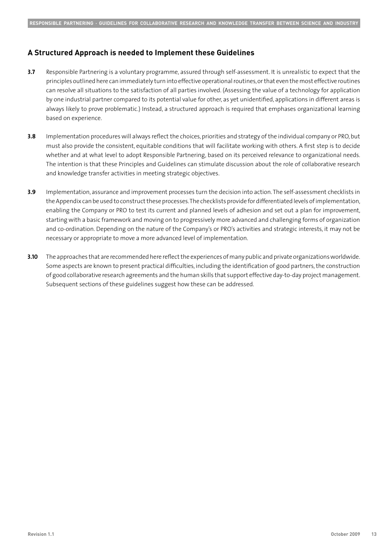#### **A Structured Approach is needed to Implement these Guidelines**

- **3.7** Responsible Partnering is a voluntary programme, assured through self-assessment. It is unrealistic to expect that the principles outlined here can immediately turn into effective operational routines, or that even the most effective routines can resolve all situations to the satisfaction of all parties involved. (Assessing the value of a technology for application by one industrial partner compared to its potential value for other, as yet unidentified, applications in different areas is always likely to prove problematic.) Instead, a structured approach is required that emphases organizational learning based on experience.
- **3.8** Implementation procedures will always reflect the choices, priorities and strategy of the individual company or PRO, but must also provide the consistent, equitable conditions that will facilitate working with others. A first step is to decide whether and at what level to adopt Responsible Partnering, based on its perceived relevance to organizational needs. The intention is that these Principles and Guidelines can stimulate discussion about the role of collaborative research and knowledge transfer activities in meeting strategic objectives.
- **3.9** Implementation, assurance and improvement processes turn the decision into action. The self-assessment checklists in the Appendix can be used to construct these processes. The checklists provide for differentiated levels of implementation, enabling the Company or PRO to test its current and planned levels of adhesion and set out a plan for improvement, starting with a basic framework and moving on to progressively more advanced and challenging forms of organization and co-ordination. Depending on the nature of the Company's or PRO's activities and strategic interests, it may not be necessary or appropriate to move a more advanced level of implementation.
- **3.10** The approaches that are recommended here reflect the experiences of many public and private organizations worldwide. Some aspects are known to present practical difficulties, including the identification of good partners, the construction of good collaborative research agreements and the human skills that support effective day-to-day project management. Subsequent sections of these guidelines suggest how these can be addressed.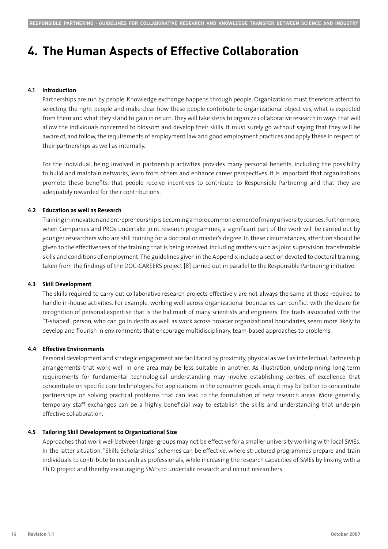### **4. The Human Aspects of Effective Collaboration**

#### **4.1 Introduction**

 Partnerships are run by people. Knowledge exchange happens through people. Organizations must therefore attend to selecting the right people and make clear how these people contribute to organizational objectives, what is expected from them and what they stand to gain in return.They will take steps to organize collaborative research in ways that will allow the individuals concerned to blossom and develop their skills. It must surely go without saying that they will be aware of, and follow, the requirements of employment law and good employment practices and apply these in respect of their partnerships as well as internally.

 For the individual, being involved in partnership activities provides many personal benefits, including the possibility to build and maintain networks, learn from others and enhance career perspectives. It is important that organizations promote these benefits, that people receive incentives to contribute to Responsible Partnering and that they are adequately rewarded for their contributions.

#### **4.2 Education as well as Research**

 Trainingininnovationandentrepreneurshipisbecomingamorecommonelementofmanyuniversitycourses.Furthermore, when Companies and PROs undertake joint research programmes, a significant part of the work will be carried out by younger researchers who are still training for a doctoral or master's degree. In these circumstances, attention should be given to the effectiveness of the training that is being received, including matters such as joint supervision,transferrable skills and conditions of employment.The guidelines given in the Appendix include a section devoted to doctoral training, taken from the findings of the DOC-CAREERS project [8] carried out in parallel to the Responsible Partnering initiative.

#### **4.3 Skill Development**

 The skills required to carry out collaborative research projects effectively are not always the same at those required to handle in-house activities. For example, working well across organizational boundaries can conflict with the desire for recognition of personal expertise that is the hallmark of many scientists and engineers. The traits associated with the "T-shaped" person, who can go in depth as well as work across broader organizational boundaries, seem more likely to develop and flourish in environments that encourage multidisciplinary, team-based approaches to problems.

#### **4.4 Effective Environments**

 Personal development and strategic engagement are facilitated by proximity, physical as well as intellectual. Partnership arrangements that work well in one area may be less suitable in another. As illustration, underpinning long-term requirements for fundamental technological understanding may involve establishing centres of excellence that concentrate on specific core technologies. For applications in the consumer goods area, it may be better to concentrate partnerships on solving practical problems that can lead to the formulation of new research areas. More generally, temporary staff exchanges can be a highly beneficial way to establish the skills and understanding that underpin effective collaboration.

#### **4.5 Tailoring Skill Development to Organizational Size**

 Approaches that work well between larger groups may not be effective for a smaller university working with local SMEs. In the latter situation,"Skills Scholarships" schemes can be effective, where structured programmes prepare and train individuals to contribute to research as professionals, while increasing the research capacities of SMEs by linking with a Ph.D. project and thereby encouraging SMEs to undertake research and recruit researchers.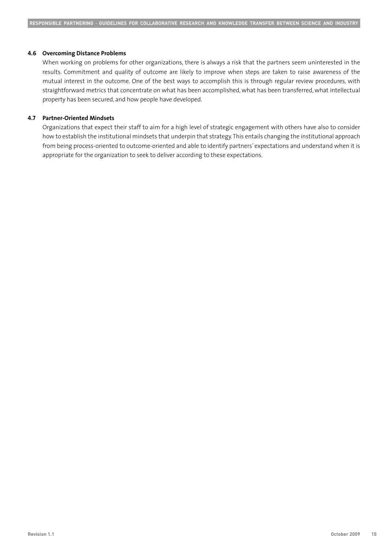#### **4.6 Overcoming Distance Problems**

 When working on problems for other organizations, there is always a risk that the partners seem uninterested in the results. Commitment and quality of outcome are likely to improve when steps are taken to raise awareness of the mutual interest in the outcome. One of the best ways to accomplish this is through regular review procedures, with straightforward metrics that concentrate on what has been accomplished, what has been transferred, what intellectual property has been secured, and how people have developed.

#### **4.7 Partner-Oriented Mindsets**

 Organizations that expect their staff to aim for a high level of strategic engagement with others have also to consider how to establish the institutional mindsets that underpin that strategy.This entails changing the institutional approach from being process-oriented to outcome-oriented and able to identify partners' expectations and understand when it is appropriate for the organization to seek to deliver according to these expectations.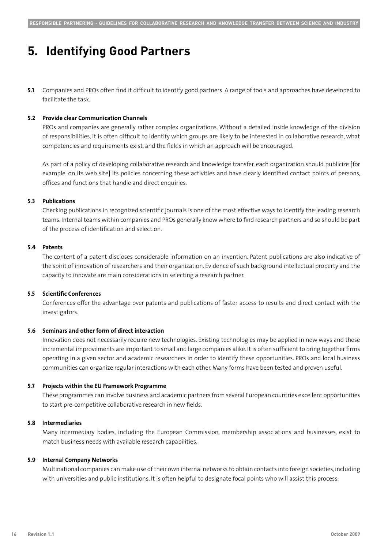### **5. Identifying Good Partners**

**5.1** Companies and PROs often find it difficult to identify good partners. A range of tools and approaches have developed to facilitate the task.

#### **5.2 Provide clear Communication Channels**

 PROs and companies are generally rather complex organizations. Without a detailed inside knowledge of the division of responsibilities, it is often difficult to identify which groups are likely to be interested in collaborative research, what competencies and requirements exist, and the fields in which an approach will be encouraged.

 As part of a policy of developing collaborative research and knowledge transfer, each organization should publicize [for example, on its web site] its policies concerning these activities and have clearly identified contact points of persons, offices and functions that handle and direct enquiries.

#### **5.3 Publications**

 Checking publications in recognized scientific journals is one of the most effective ways to identify the leading research teams. Internal teams within companies and PROs generally know where to find research partners and so should be part of the process of identification and selection.

#### **5.4 Patents**

 The content of a patent discloses considerable information on an invention. Patent publications are also indicative of the spirit of innovation of researchers and their organization. Evidence of such background intellectual property and the capacity to innovate are main considerations in selecting a research partner.

#### **5.5 Scientific Conferences**

 Conferences offer the advantage over patents and publications of faster access to results and direct contact with the investigators.

#### **5.6 Seminars and other form of direct interaction**

 Innovation does not necessarily require new technologies. Existing technologies may be applied in new ways and these incremental improvements are important to small and large companies alike. It is often sufficient to bring together firms operating in a given sector and academic researchers in order to identify these opportunities. PROs and local business communities can organize regular interactions with each other. Many forms have been tested and proven useful.

#### **5.7 Projects within the EU Framework Programme**

 These programmes can involve business and academic partners from several European countries excellent opportunities to start pre-competitive collaborative research in new fields.

#### **5.8 Intermediaries**

 Many intermediary bodies, including the European Commission, membership associations and businesses, exist to match business needs with available research capabilities.

#### **5.9 Internal Company Networks**

Multinational companies can make use of their own internal networks to obtain contacts into foreign societies, including with universities and public institutions. It is often helpful to designate focal points who will assist this process.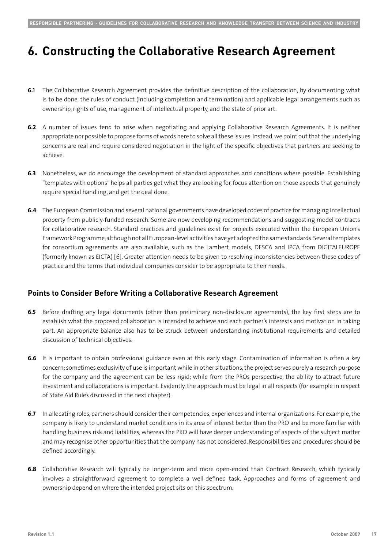### **6. Constructing the Collaborative Research Agreement**

- **6.1** The Collaborative Research Agreement provides the definitive description of the collaboration, by documenting what is to be done, the rules of conduct (including completion and termination) and applicable legal arrangements such as ownership, rights of use, management of intellectual property, and the state of prior art.
- **6.2** A number of issues tend to arise when negotiating and applying Collaborative Research Agreements. It is neither appropriate nor possible to propose forms of words here to solve all these issues. Instead, we point out that the underlying concerns are real and require considered negotiation in the light of the specific objectives that partners are seeking to achieve.
- **6.3** Nonetheless, we do encourage the development of standard approaches and conditions where possible. Establishing "templates with options"helps all parties get what they are looking for,focus attention on those aspects that genuinely require special handling, and get the deal done.
- **6.4** The European Commission and several national governments have developed codes of practice for managing intellectual property from publicly-funded research. Some are now developing recommendations and suggesting model contracts for collaborative research. Standard practices and guidelines exist for projects executed within the European Union's Framework Programme, although not all European-level activities have yet adopted the same standards. Several templates for consortium agreements are also available, such as the Lambert models, DESCA and IPCA from DIGITALEUROPE (formerly known as EICTA) [6]. Greater attention needs to be given to resolving inconsistencies between these codes of practice and the terms that individual companies consider to be appropriate to their needs.

#### **Points to Consider Before Writing a Collaborative Research Agreement**

- **6.5** Before drafting any legal documents (other than preliminary non-disclosure agreements), the key first steps are to establish what the proposed collaboration is intended to achieve and each partner's interests and motivation in taking part. An appropriate balance also has to be struck between understanding institutional requirements and detailed discussion of technical objectives.
- **6.6** It is important to obtain professional guidance even at this early stage. Contamination of information is often a key concern; sometimes exclusivity of use is important while in other situations,the project serves purely a research purpose for the company and the agreement can be less rigid; while from the PROs perspective, the ability to attract future investment and collaborations is important. Evidently, the approach must be legal in all respects (for example in respect of State Aid Rules discussed in the next chapter).
- **6.7** In allocating roles, partners should consider their competencies, experiences and internal organizations. For example, the company is likely to understand market conditions in its area of interest better than the PRO and be more familiar with handling business risk and liabilities, whereas the PRO will have deeper understanding of aspects of the subject matter and may recognise other opportunities that the company has not considered. Responsibilities and procedures should be defined accordingly.
- **6.8** Collaborative Research will typically be longer-term and more open-ended than Contract Research, which typically involves a straightforward agreement to complete a well-defined task. Approaches and forms of agreement and ownership depend on where the intended project sits on this spectrum.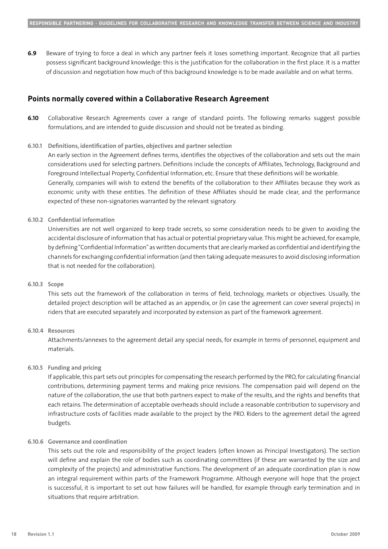**6.9** Beware of trying to force a deal in which any partner feels it loses something important. Recognize that all parties possess significant background knowledge: this is the justification for the collaboration in the first place. It is a matter of discussion and negotiation how much of this background knowledge is to be made available and on what terms.

#### **Points normally covered within a Collaborative Research Agreement**

- **6.10** Collaborative Research Agreements cover a range of standard points. The following remarks suggest possible formulations, and are intended to guide discussion and should not be treated as binding.
- **6.10.1 Definitions, identification of parties, objectives and partner selection**

 An early section in the Agreement defines terms, identifies the objectives of the collaboration and sets out the main considerations used for selecting partners. Definitions include the concepts of Affiliates, Technology, Background and Foreground Intellectual Property, Confidential Information, etc. Ensure that these definitions will be workable. Generally, companies will wish to extend the benefits of the collaboration to their Affiliates because they work as economic unity with these entities. The definition of these Affiliates should be made clear, and the performance expected of these non-signatories warranted by the relevant signatory.

**6.10.2 Confidential information**

 Universities are not well organized to keep trade secrets, so some consideration needs to be given to avoiding the accidental disclosure of information that has actual or potential proprietary value. This might be achieved, for example, by defining"Confidential Information"as written documents that are clearly marked as confidential and identifying the channels for exchanging confidential information (and then taking adequate measures to avoid disclosing information that is not needed for the collaboration).

#### **6.10.3 Scope**

 This sets out the framework of the collaboration in terms of field, technology, markets or objectives. Usually, the detailed project description will be attached as an appendix, or (in case the agreement can cover several projects) in riders that are executed separately and incorporated by extension as part of the framework agreement.

#### **6.10.4 Resources**

 Attachments/annexes to the agreement detail any special needs, for example in terms of personnel, equipment and materials.

#### **6.10.5 Funding and pricing**

If applicable, this part sets out principles for compensating the research performed by the PRO, for calculating financial contributions, determining payment terms and making price revisions. The compensation paid will depend on the nature of the collaboration, the use that both partners expect to make of the results, and the rights and benefits that each retains. The determination of acceptable overheads should include a reasonable contribution to supervisory and infrastructure costs of facilities made available to the project by the PRO. Riders to the agreement detail the agreed budgets.

#### **6.10.6 Governance and coordination**

 This sets out the role and responsibility of the project leaders (often known as Principal Investigators). The section will define and explain the role of bodies such as coordinating committees (if these are warranted by the size and complexity of the projects) and administrative functions. The development of an adequate coordination plan is now an integral requirement within parts of the Framework Programme. Although everyone will hope that the project is successful, it is important to set out how failures will be handled, for example through early termination and in situations that require arbitration.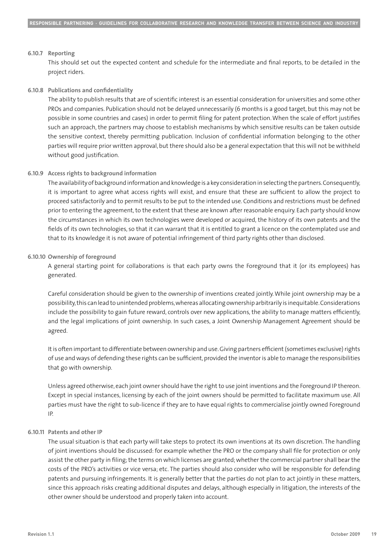#### **6.10.7 Reporting**

 This should set out the expected content and schedule for the intermediate and final reports, to be detailed in the project riders.

#### **6.10.8 Publications and confidentiality**

 The ability to publish results that are of scientific interest is an essential consideration for universities and some other PROs and companies. Publication should not be delayed unnecessarily (6 months is a good target, but this may not be possible in some countries and cases) in order to permit filing for patent protection.When the scale of effort justifies such an approach, the partners may choose to establish mechanisms by which sensitive results can be taken outside the sensitive context, thereby permitting publication. Inclusion of confidential information belonging to the other parties will require prior written approval, but there should also be a general expectation that this will not be withheld without good justification.

#### **6.10.9 Access rights to background information**

The availability of background information and knowledge is a key consideration in selecting the partners.Consequently, it is important to agree what access rights will exist, and ensure that these are sufficient to allow the project to proceed satisfactorily and to permit results to be put to the intended use. Conditions and restrictions must be defined prior to entering the agreement, to the extent that these are known after reasonable enquiry. Each party should know the circumstances in which its own technologies were developed or acquired, the history of its own patents and the fields of its own technologies, so that it can warrant that it is entitled to grant a licence on the contemplated use and that to its knowledge it is not aware of potential infringement of third party rights other than disclosed.

#### **6.10.10 Ownership of foreground**

 A general starting point for collaborations is that each party owns the Foreground that it (or its employees) has generated.

 Careful consideration should be given to the ownership of inventions created jointly.While joint ownership may be a possibility, this can lead to unintended problems, whereas allocating ownership arbitrarily is inequitable. Considerations include the possibility to gain future reward, controls over new applications, the ability to manage matters efficiently, and the legal implications of joint ownership. In such cases, a Joint Ownership Management Agreement should be agreed.

It is often important to differentiate between ownership and use. Giving partners efficient (sometimes exclusive) rights of use and ways of defending these rights can be sufficient, provided the inventor is able to manage the responsibilities that go with ownership.

 Unless agreed otherwise, each joint owner should have the right to use joint inventions and the Foreground IP thereon. Except in special instances, licensing by each of the joint owners should be permitted to facilitate maximum use. All parties must have the right to sub-licence if they are to have equal rights to commercialise jointly owned Foreground IP.

#### **6.10.11 Patents and other IP**

 The usual situation is that each party will take steps to protect its own inventions at its own discretion. The handling of joint inventions should be discussed: for example whether the PRO or the company shall file for protection or only assist the other party in filing; the terms on which licenses are granted; whether the commercial partner shall bear the costs of the PRO's activities or vice versa; etc. The parties should also consider who will be responsible for defending patents and pursuing infringements. It is generally better that the parties do not plan to act jointly in these matters, since this approach risks creating additional disputes and delays, although especially in litigation, the interests of the other owner should be understood and properly taken into account.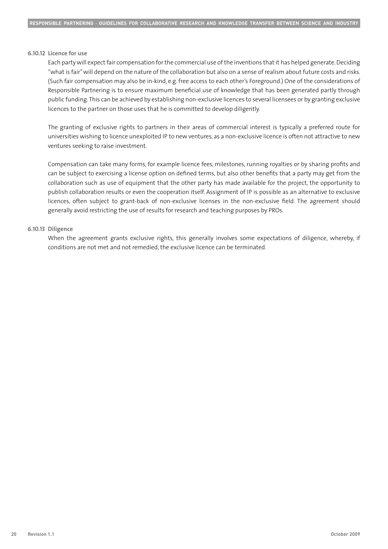#### **6.10.12 Licence for use**

Each party will expect fair compensation for the commercial use of the inventions that it has helped generate. Deciding "what is fair"will depend on the nature of the collaboration but also on a sense of realism about future costs and risks. (Such fair compensation may also be in-kind, e.g. free access to each other's Foreground.) One of the considerations of Responsible Partnering is to ensure maximum beneficial use of knowledge that has been generated partly through public funding.This can be achieved by establishing non-exclusive licences to several licensees or by granting exclusive licences to the partner on those uses that he is committed to develop diligently.

 The granting of exclusive rights to partners in their areas of commercial interest is typically a preferred route for universities wishing to licence unexploited IP to new ventures, as a non-exclusive licence is often not attractive to new ventures seeking to raise investment.

 Compensation can take many forms, for example licence fees, milestones, running royalties or by sharing profits and can be subject to exercising a license option on defined terms, but also other benefits that a party may get from the collaboration such as use of equipment that the other party has made available for the project, the opportunity to publish collaboration results or even the cooperation itself. Assignment of IP is possible as an alternative to exclusive licences, often subject to grant-back of non-exclusive licenses in the non-exclusive field. The agreement should generally avoid restricting the use of results for research and teaching purposes by PROs.

#### **6.10.13 Diligence**

 When the agreement grants exclusive rights, this generally involves some expectations of diligence, whereby, if conditions are not met and not remedied, the exclusive licence can be terminated.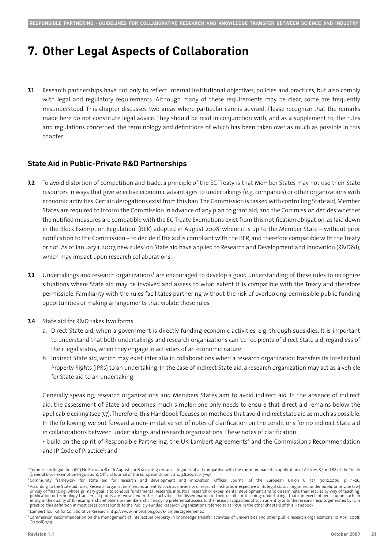### **7. Other Legal Aspects of Collaboration**

**7.1** Research partnerships have not only to reflect internal institutional objectives, policies and practices, but also comply with legal and regulatory requirements. Although many of these requirements may be clear, some are frequently misunderstood. This chapter discusses two areas where particular care is advised. Please recognize that the remarks made here do not constitute legal advice. They should be read in conjunction with, and as a supplement to, the rules and regulations concerned, the terminology and definitions of which has been taken over as much as possible in this chapter.

#### **State Aid in Public-Private R&D Partnerships**

- **7.2** To avoid distortion of competition and trade, a principle of the EC Treaty is that Member States may not use their State resources in ways that give selective economic advantages to undertakings (e.g. companies) or other organizations with economic activities. Certain derogations exist from this ban. The Commission is tasked with controlling State aid; Member States are required to inform the Commission in advance of any plan to grant aid; and the Commission decides whether the notified measures are compatible with the EC Treaty. Exemptions exist from this notification obligation, as laid down in the Block Exemption Regulation<sup>1</sup> (BER) adopted in August 2008, where it is up to the Member State – without prior notification to the Commission – to decide if the aid is compliant with the BER, and therefore compatible with the Treaty or not. As of January 1, 2007, new rules<sup>2</sup> on State aid have applied to Research and Development and Innovation (R&D&I), which may impact upon research collaborations.
- **7.3** Undertakings and research organizations<sup>3</sup> are encouraged to develop a good understanding of these rules to recognize situations where State aid may be involved and assess to what extent it is compatible with the Treaty and therefore permissible. Familiarity with the rules facilitates partnering without the risk of overlooking permissible public funding opportunities or making arrangements that violate these rules.
- **7.4** State aid for R&D takes two forms:
	- a. Direct State aid, when a government is directly funding economic activities, e.g. through subsidies. It is important to understand that both undertakings and research organizations can be recipients of direct State aid, regardless of their legal status, when they engage in activities of an economic nature.
	- b. Indirect State aid, which may exist inter alia in collaborations when a research organization transfers its Intellectual Property Rights (IPRs) to an undertaking. In the case of indirect State aid, a research organization may act as a vehicle for State aid to an undertaking.

 Generally speaking, research organizations and Members States aim to avoid indirect aid. In the absence of indirect aid, the assessment of State aid becomes much simpler: one only needs to ensure that direct aid remains below the applicable ceiling (see 7.7). Therefore, this Handbook focuses on methods that avoid indirect state aid as much as possible. In the following, we put forward a non-limitative set of notes of clarification on the conditions for no indirect State aid in collaborations between undertakings and research organizations. These notes of clarification:

• build on the spirit of Responsible Partnering, the UK Lambert Agreements<sup>4</sup> and the Commission's Recommendation and IP Code of Practice<sup>5</sup>; and

<sup>&#</sup>x27; Commission Regulation (EC) No 800/2008 of 6 August 2008 declaring certain categories of aid compatible with the common market in application of Articles 87 and 88 of the Treaty<br>(General block exemption Regulation), Offic

<sup>2</sup> Community framework for state aid for research and development and innovation, Official Journal of the European Union C 323, 30.12.2006, p. 1–26. <sup>3</sup> According to the State aid rules,'Research organization' means an entity, such as university or research institute, irrespective of its legal status (organized under public or private law) or way of financing, whose primary goal is to conduct fundamental research, industrial research or experimental development and to disseminate their results by way of teaching,<br>publication or technology transfer; all profi entity, in the quality of, for example, shareholders or members, shall enjoy no preferential access to the research capacities of such an entity or to the research results generated by it. In<br>practice, this definition in m 4 Lambert Tool Kit for Collaborative Research, http://www.innovation.gov.uk/lambertagreements/

<sup>5</sup> Commission Recommendation on the management of intellectual property in knowledge transfer activities of universities and other public research organizations; 10 April 2008; C(2008)1329.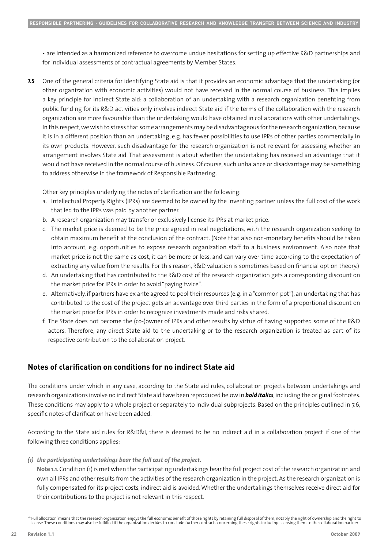• are intended as a harmonized reference to overcome undue hesitations for setting up effective R&D partnerships and for individual assessments of contractual agreements by Member States.

**7.5** One of the general criteria for identifying State aid is that it provides an economic advantage that the undertaking (or other organization with economic activities) would not have received in the normal course of business. This implies a key principle for indirect State aid: a collaboration of an undertaking with a research organization benefiting from public funding for its R&D activities only involves indirect State aid if the terms of the collaboration with the research organization are more favourable than the undertaking would have obtained in collaborations with other undertakings. In this respect,wewish to stress that some arrangements may be disadvantageous forthe research organization,because it is in a different position than an undertaking, e.g. has fewer possibilities to use IPRs of other parties commercially in its own products. However, such disadvantage for the research organization is not relevant for assessing whether an arrangement involves State aid. That assessment is about whether the undertaking has received an advantage that it would not have received in the normal course of business. Of course, such unbalance or disadvantage may be something to address otherwise in the framework of Responsible Partnering.

 Other key principles underlying the notes of clarification are the following:

- a. Intellectual Property Rights (IPRs) are deemed to be owned by the inventing partner unless the full cost of the work that led to the IPRs was paid by another partner.
- b. A research organization may transfer or exclusively license its IPRs at market price.
- c. The market price is deemed to be the price agreed in real negotiations, with the research organization seeking to obtain maximum benefit at the conclusion of the contract. (Note that also non-monetary benefits should be taken into account, e.g. opportunities to expose research organization staff to a business environment. Also note that market price is not the same as cost, it can be more or less, and can vary over time according to the expectation of extracting any value from the results. For this reason, R&D valuation is sometimes based on financial option theory.)
- d. An undertaking that has contributed to the R&D cost of the research organization gets a corresponding discount on the market price for IPRs in order to avoid "paying twice".
- e. Alternatively, if partners have ex ante agreed to pool their resources (e.g. in a "common pot"), an undertaking that has contributed to the cost of the project gets an advantage over third parties in the form of a proportional discount on the market price for IPRs in order to recognize investments made and risks shared.
- f. The State does not become the (co-)owner of IPRs and other results by virtue of having supported some of the R&D actors. Therefore, any direct State aid to the undertaking or to the research organization is treated as part of its respective contribution to the collaboration project.

#### **Notes of clarification on conditions for no indirect State aid**

The conditions under which in any case, according to the State aid rules, collaboration projects between undertakings and research organizations involve no indirect State aid have been reproduced below in **bold italics**, including the original footnotes. These conditions may apply to a whole project or separately to individual subprojects. Based on the principles outlined in 7.6, specific notes of clarification have been added.

According to the State aid rules for R&D&I, there is deemed to be no indirect aid in a collaboration project if one of the following three conditions applies:

#### *(1) the participating undertakings bear the full cost of the project.*

**Note 1.1.**Condition (1) is met when the participating undertakings bearthe full project cost ofthe research organization and own all IPRs and other results from the activities of the research organization in the project.As the research organization is fully compensated for its project costs, indirect aid is avoided.Whether the undertakings themselves receive direct aid for their contributions to the project is not relevant in this respect.

<sup>&</sup>lt;sup>6</sup> 'Full allocation' means that the research organization enjoys the full economic benefit of those rights by retaining full disposal of them, notably the right of ownership and the right to license. These conditions may also be fulfilled if the organization decides to conclude further contracts concerning these rights including licensing them to the collaboration partner.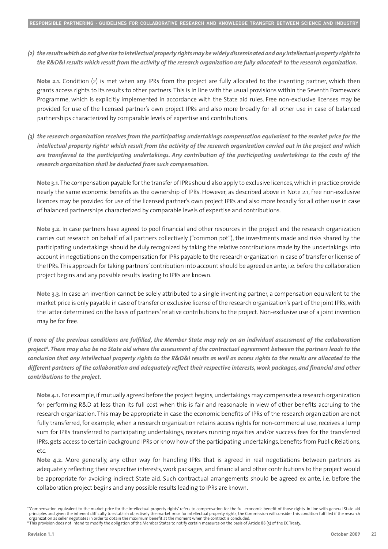*(2) the results which do not give rise to intellectual property rights may be widely disseminated and any intellectual property rights to the R&D&I results which result from the activity of the research organization are fully allocated6 to the research organization.*

**Note 2.1.** Condition (2) is met when any IPRs from the project are fully allocated to the inventing partner, which then grants access rights to its results to other partners. This is in line with the usual provisions within the Seventh Framework Programme, which is explicitly implemented in accordance with the State aid rules. Free non-exclusive licenses may be provided for use of the licensed partner's own project IPRs and also more broadly for all other use in case of balanced partnerships characterized by comparable levels of expertise and contributions.

*(3) the research organization receives from the participating undertakings compensation equivalent to the market price for the intellectual property rights7 which result from the activity of the research organization carried out in the project and which are transferred to the participating undertakings. Any contribution of the participating undertakings to the costs of the research organization shall be deducted from such compensation.* 

**Note 3.1.** The compensation payable for the transfer of IPRs should also apply to exclusive licences,which in practice provide nearly the same economic benefits as the ownership of IPRs. However, as described above in Note 2.1, free non-exclusive licences may be provided for use of the licensed partner's own project IPRs and also more broadly for all other use in case of balanced partnerships characterized by comparable levels of expertise and contributions.

**Note 3.2.** In case partners have agreed to pool financial and other resources in the project and the research organization carries out research on behalf of all partners collectively ("common pot"), the investments made and risks shared by the participating undertakings should be duly recognized by taking the relative contributions made by the undertakings into account in negotiations on the compensation for IPRs payable to the research organization in case of transfer or license of the IPRs.This approach for taking partners' contribution into account should be agreed ex ante, i.e. before the collaboration project begins and any possible results leading to IPRs are known.

**Note 3.3.** In case an invention cannot be solely attributed to a single inventing partner, a compensation equivalent to the market price is only payable in case of transfer or exclusive license of the research organization's part of the joint IPRs, with the latter determined on the basis of partners'relative contributions to the project. Non-exclusive use of a joint invention may be for free.

*If none of the previous conditions are fulfilled, the Member State may rely on an individual assessment of the collaboration project8 . There may also be no State aid where the assessment of the contractual agreement between the partners leads to the conclusion that any intellectual property rights to the R&D&I results as well as access rights to the results are allocated to the different partners of the collaboration and adequately reflect their respective interests, work packages, and financial and other contributions to the project.*

Note 4.1. For example, if mutually agreed before the project begins, undertakings may compensate a research organization for performing R&D at less than its full cost when this is fair and reasonable in view of other benefits accruing to the research organization. This may be appropriate in case the economic benefits of IPRs of the research organization are not fully transferred, for example, when a research organization retains access rights for non-commercial use, receives a lump sum for IPRs transferred to participating undertakings, receives running royalties and/or success fees for the transferred IPRs, gets access to certain background IPRs or know how of the participating undertakings, benefits from Public Relations, etc.

**Note 4.2.** More generally, any other way for handling IPRs that is agreed in real negotiations between partners as adequately reflecting their respective interests, work packages, and financial and other contributions to the project would be appropriate for avoiding indirect State aid. Such contractual arrangements should be agreed ex ante, i.e. before the collaboration project begins and any possible results leading to IPRs are known.

<sup>7</sup> 'Compensation equivalent to the market price for the intellectual property rights' refers to compensation for the full economic benefit of those rights. In line with general State aid principles and given the inherent difficulty to establish objectively the market price for intellectual property rights, the Commission will consider this condition fulfilled if the research organization as seller negotiates in order to obtain the maximum benefit at the moment when the contract is concluded.

 $^{\rm 8}$  This provision does not intend to modify the obligation of the Member States to notify certain measures on the basis of Article 88 (3) of the EC Treaty.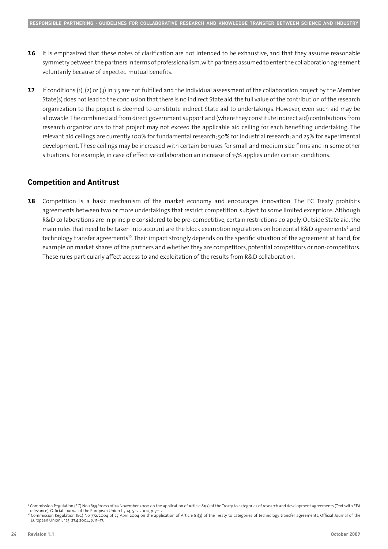- **7.6** It is emphasized that these notes of clarification are not intended to be exhaustive, and that they assume reasonable symmetry between the partners in terms of professionalism, with partners assumed to enter the collaboration agreement voluntarily because of expected mutual benefits.
- **7.7** If conditions (1), (2) or (3) in 7.5 are not fulfilled and the individual assessment of the collaboration project by the Member State(s) does not lead to the conclusion that there is no indirect State aid, the full value of the contribution of the research organization to the project is deemed to constitute indirect State aid to undertakings. However, even such aid may be allowable.The combined aid from direct government support and (where they constitute indirect aid) contributions from research organizations to that project may not exceed the applicable aid ceiling for each benefiting undertaking. The relevant aid ceilings are currently 100% for fundamental research; 50% for industrial research; and 25% for experimental development. These ceilings may be increased with certain bonuses for small and medium size firms and in some other situations. For example, in case of effective collaboration an increase of 15% applies under certain conditions.

#### **Competition and Antitrust**

**7.8** Competition is a basic mechanism of the market economy and encourages innovation. The EC Treaty prohibits agreements between two or more undertakings that restrict competition, subject to some limited exceptions. Although R&D collaborations are in principle considered to be pro-competitive, certain restrictions do apply. Outside State aid, the main rules that need to be taken into account are the block exemption regulations on horizontal R&D agreements<sup>9</sup> and technology transfer agreements<sup>10</sup>. Their impact strongly depends on the specific situation of the agreement at hand, for example on market shares of the partners and whether they are competitors, potential competitors or non-competitors. These rules particularly affect access to and exploitation of the results from R&D collaboration.

<sup>&</sup>lt;sup>9</sup> Commission Regulation (EC) No 2659/2000 of 29 November 2000 on the application of Article 81(3) of the Treaty to categories of research and development agreements (Text with EEA relevance), Official Journal of the European Union L 304, 5.12.2000, p. 7–12.

<sup>®</sup> Commission Regulation (EC) No 772/2004 of 27 April 2004 on the application of Article 81(3) of the Treaty to categories of technology transfer agreements, Official Journal of the<br>European Union L 123, 27.4.2004, p. 11−1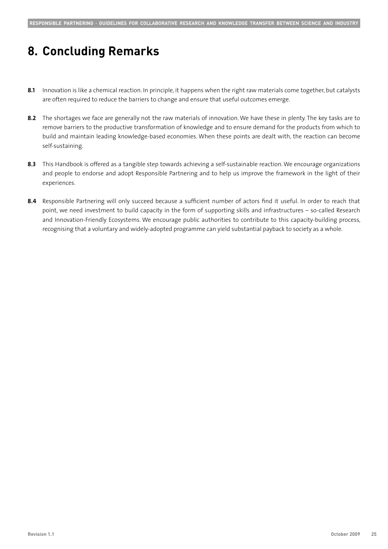### **8. Concluding Remarks**

- **8.1** Innovation is like a chemical reaction. In principle, it happens when the right raw materials come together, but catalysts are often required to reduce the barriers to change and ensure that useful outcomes emerge.
- **8.2** The shortages we face are generally not the raw materials of innovation. We have these in plenty. The key tasks are to remove barriers to the productive transformation of knowledge and to ensure demand for the products from which to build and maintain leading knowledge-based economies. When these points are dealt with, the reaction can become self-sustaining.
- **8.3** This Handbook is offered as a tangible step towards achieving a self-sustainable reaction. We encourage organizations and people to endorse and adopt Responsible Partnering and to help us improve the framework in the light of their experiences.
- **8.4** Responsible Partnering will only succeed because a sufficient number of actors find it useful. In order to reach that point, we need investment to build capacity in the form of supporting skills and infrastructures – so-called Research and Innovation-Friendly Ecosystems. We encourage public authorities to contribute to this capacity-building process, recognising that a voluntary and widely-adopted programme can yield substantial payback to society as a whole.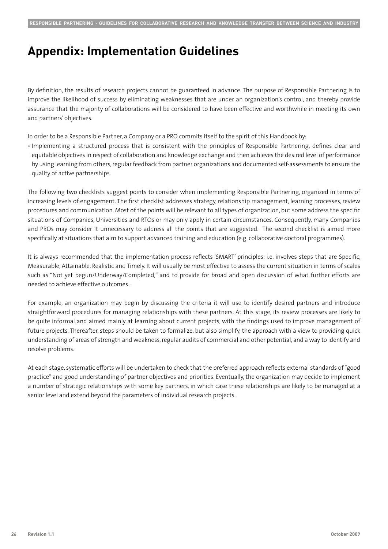### **Appendix: Implementation Guidelines**

By definition, the results of research projects cannot be guaranteed in advance. The purpose of Responsible Partnering is to improve the likelihood of success by eliminating weaknesses that are under an organization's control, and thereby provide assurance that the majority of collaborations will be considered to have been effective and worthwhile in meeting its own and partners' objectives.

In order to be a Responsible Partner, a Company or a PRO commits itself to the spirit of this Handbook by:

• Implementing a structured process that is consistent with the principles of Responsible Partnering, defines clear and equitable objectives in respect of collaboration and knowledge exchange and then achieves the desired level of performance by using learning from others, regular feedback from partner organizations and documented self-assessments to ensure the quality of active partnerships.

The following two checklists suggest points to consider when implementing Responsible Partnering, organized in terms of increasing levels of engagement. The first checklist addresses strategy, relationship management, learning processes, review procedures and communication. Most of the points will be relevant to all types of organization, but some address the specific situations of Companies, Universities and RTOs or may only apply in certain circumstances. Consequently, many Companies and PROs may consider it unnecessary to address all the points that are suggested. The second checklist is aimed more specifically at situations that aim to support advanced training and education (e.g. collaborative doctoral programmes).

It is always recommended that the implementation process reflects 'SMART' principles: i.e. involves steps that are Specific, Measurable, Attainable, Realistic and Timely. It will usually be most effective to assess the current situation in terms of scales such as "Not yet begun/Underway/Completed," and to provide for broad and open discussion of what further efforts are needed to achieve effective outcomes.

For example, an organization may begin by discussing the criteria it will use to identify desired partners and introduce straightforward procedures for managing relationships with these partners. At this stage, its review processes are likely to be quite informal and aimed mainly at learning about current projects, with the findings used to improve management of future projects. Thereafter, steps should be taken to formalize, but also simplify, the approach with a view to providing quick understanding of areas of strength and weakness, regular audits of commercial and other potential, and a way to identify and resolve problems.

At each stage, systematic efforts will be undertaken to check that the preferred approach reflects external standards of"good practice" and good understanding of partner objectives and priorities. Eventually, the organization may decide to implement a number of strategic relationships with some key partners, in which case these relationships are likely to be managed at a senior level and extend beyond the parameters of individual research projects.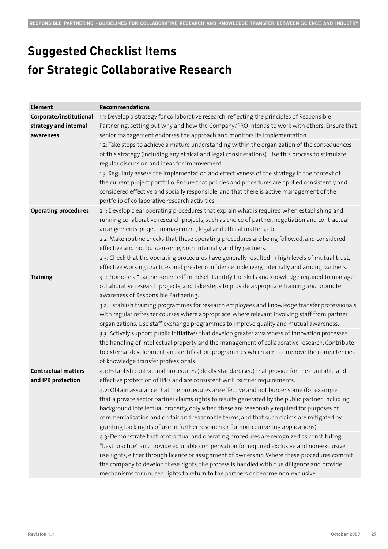## **Suggested Checklist Items for Strategic Collaborative Research**

| <b>Element</b>                                                | <b>Recommendations</b>                                                                                                                                                                                                                                                                                                                                                                                                                                                        |
|---------------------------------------------------------------|-------------------------------------------------------------------------------------------------------------------------------------------------------------------------------------------------------------------------------------------------------------------------------------------------------------------------------------------------------------------------------------------------------------------------------------------------------------------------------|
| Corporate/institutional<br>strategy and internal<br>awareness | 1.1: Develop a strategy for collaborative research, reflecting the principles of Responsible<br>Partnering, setting out why and how the Company/PRO intends to work with others. Ensure that<br>senior management endorses the approach and monitors its implementation.                                                                                                                                                                                                      |
|                                                               | 1.2: Take steps to achieve a mature understanding within the organization of the consequences<br>of this strategy (including any ethical and legal considerations). Use this process to stimulate<br>regular discussion and ideas for improvement.                                                                                                                                                                                                                            |
|                                                               | 1.3: Regularly assess the implementation and effectiveness of the strategy in the context of<br>the current project portfolio. Ensure that policies and procedures are applied consistently and<br>considered effective and socially responsible, and that there is active management of the<br>portfolio of collaborative research activities.                                                                                                                               |
| <b>Operating procedures</b>                                   | 2.1: Develop clear operating procedures that explain what is required when establishing and<br>running collaborative research projects, such as choice of partner, negotiation and contractual<br>arrangements, project management, legal and ethical matters, etc.                                                                                                                                                                                                           |
|                                                               | 2.2: Make routine checks that these operating procedures are being followed, and considered<br>effective and not burdensome, both internally and by partners.                                                                                                                                                                                                                                                                                                                 |
|                                                               | 2.3: Check that the operating procedures have generally resulted in high levels of mutual trust,<br>effective working practices and greater confidence in delivery, internally and among partners.                                                                                                                                                                                                                                                                            |
| <b>Training</b>                                               | 3.1: Promote a "partner-oriented" mindset. Identify the skills and knowledge required to manage<br>collaborative research projects, and take steps to provide appropriate training and promote<br>awareness of Responsible Partnering.                                                                                                                                                                                                                                        |
|                                                               | 3.2: Establish training programmes for research employees and knowledge transfer professionals,<br>with regular refresher courses where appropriate, where relevant involving staff from partner<br>organizations. Use staff exchange programmes to improve quality and mutual awareness.                                                                                                                                                                                     |
|                                                               | 3.3: Actively support public initiatives that develop greater awareness of innovation processes,<br>the handling of intellectual property and the management of collaborative research. Contribute<br>to external development and certification programmes which aim to improve the competencies<br>of knowledge transfer professionals.                                                                                                                                      |
| <b>Contractual matters</b><br>and IPR protection              | 4.1: Establish contractual procedures (ideally standardised) that provide for the equitable and<br>effective protection of IPRs and are consistent with partner requirements.                                                                                                                                                                                                                                                                                                 |
|                                                               | 4.2: Obtain assurance that the procedures are effective and not burdensome (for example<br>that a private sector partner claims rights to results generated by the public partner, including<br>background intellectual property, only when these are reasonably required for purposes of<br>commercialisation and on fair and reasonable terms, and that such claims are mitigated by<br>granting back rights of use in further research or for non-competing applications). |
|                                                               | 4.3: Demonstrate that contractual and operating procedures are recognized as constituting<br>"best practice" and provide equitable compensation for required exclusive and non-exclusive<br>use rights, either through licence or assignment of ownership. Where these procedures commit<br>the company to develop these rights, the process is handled with due diligence and provide<br>mechanisms for unused rights to return to the partners or become non-exclusive.     |
|                                                               |                                                                                                                                                                                                                                                                                                                                                                                                                                                                               |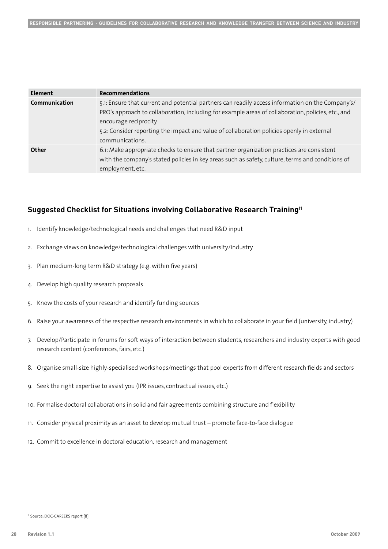| Element       | <b>Recommendations</b>                                                                                                                                                                                                           |
|---------------|----------------------------------------------------------------------------------------------------------------------------------------------------------------------------------------------------------------------------------|
| Communication | 5.1: Ensure that current and potential partners can readily access information on the Company's/<br>PRO's approach to collaboration, including for example areas of collaboration, policies, etc., and<br>encourage reciprocity. |
|               | 5.2: Consider reporting the impact and value of collaboration policies openly in external<br>communications.                                                                                                                     |
| Other         | 6.1: Make appropriate checks to ensure that partner organization practices are consistent<br>with the company's stated policies in key areas such as safety, culture, terms and conditions of<br>employment, etc.                |

#### **Suggested Checklist for Situations involving Collaborative Research Training<sup>11</sup>**

- 1. Identify knowledge/technological needs and challenges that need R&D input
- 2. Exchange views on knowledge/technological challenges with university/industry
- 3. Plan medium-long term R&D strategy (e.g. within five years)
- 4. Develop high quality research proposals
- 5. Know the costs of your research and identify funding sources
- 6. Raise your awareness of the respective research environments in which to collaborate in your field (university, industry)
- 7. Develop/Participate in forums for soft ways of interaction between students, researchers and industry experts with good research content (conferences, fairs, etc.)
- 8. Organise small-size highly-specialised workshops/meetings that pool experts from different research fields and sectors
- 9. Seek the right expertise to assist you (IPR issues, contractual issues, etc.)
- 10. Formalise doctoral collaborations in solid and fair agreements combining structure and flexibility
- 11. Consider physical proximity as an asset to develop mutual trust promote face-to-face dialogue
- 12. Commit to excellence in doctoral education, research and management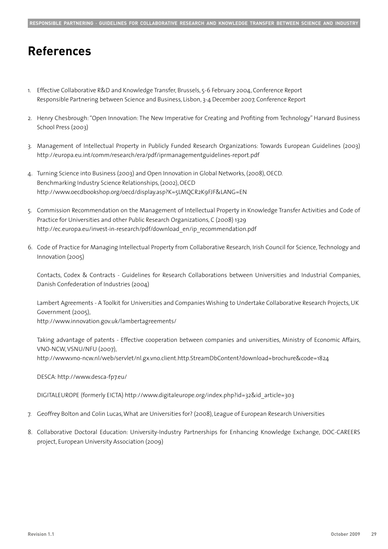### **References**

- 1. Effective Collaborative R&D and Knowledge Transfer, Brussels, 5-6 February 2004, Conference Report Responsible Partnering between Science and Business, Lisbon, 3-4 December 2007, Conference Report
- 2. Henry Chesbrough: "Open Innovation: The New Imperative for Creating and Profiting from Technology" Harvard Business School Press (2003)
- 3. Management of Intellectual Property in Publicly Funded Research Organizations: Towards European Guidelines (2003) http://europa.eu.int/comm/research/era/pdf/iprmanagementguidelines-report.pdf
- 4. Turning Science into Business (2003) and Open Innovation in Global Networks, (2008), OECD. Benchmarking Industry Science Relationships, (2002), OECD http://www.oecdbookshop.org/oecd/display.asp?K=5LMQCR2K9FJF&LANG=EN
- 5. Commission Recommendation on the Management of Intellectual Property in Knowledge Transfer Activities and Code of Practice for Universities and other Public Research Organizations, C (2008) 1329 http://ec.europa.eu/invest-in-research/pdf/download\_en/ip\_recommendation.pdf
- 6. Code of Practice for Managing Intellectual Property from Collaborative Research, Irish Council for Science, Technology and Innovation (2005)

Contacts, Codex & Contracts - Guidelines for Research Collaborations between Universities and Industrial Companies, Danish Confederation of Industries (2004)

 Lambert Agreements - A Toolkit for Universities and Companies Wishing to Undertake Collaborative Research Projects, UK Government (2005), http://www.innovation.gov.uk/lambertagreements/

Taking advantage of patents - Effective cooperation between companies and universities, Ministry of Economic Affairs, VNO-NCW,VSNU/NFU (2007),

 http://www.vno-ncw.nl/web/servlet/nl.gx.vno.client.http.StreamDbContent?download=brochure&code=1824

DESCA: http://www.desca-fp7.eu/

DIGITALEUROPE (formerly EICTA) http://www.digitaleurope.org/index.php?id=32&id\_article=303

- 7. Geoffrey Bolton and Colin Lucas,What are Universities for? (2008), League of European Research Universities
- 8. Collaborative Doctoral Education: University-Industry Partnerships for Enhancing Knowledge Exchange, DOC-CAREERS project, European University Association (2009)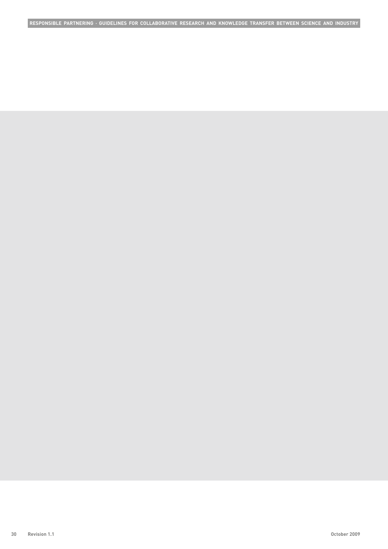**RESPONSIBLE PARTNERING · GUIDELINES FOR COLLABORATIVE RESEARCH AND KNOWLEDGE TRANSFER BETWEEN SCIENCE AND INDUSTRY**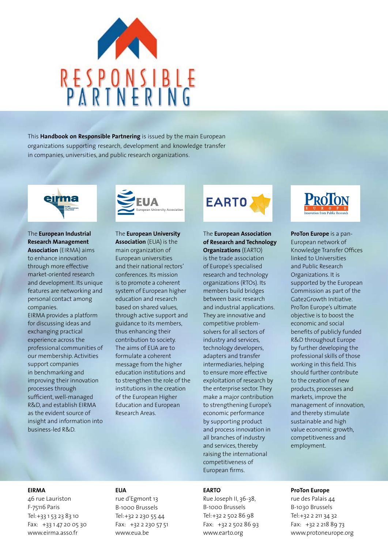

This Handbook on Responsible Partnering is issued by the main European organizations supporting research, development and knowledge transfer in companies, universities, and public research organizations.



#### **The European Industrial Research Management**

**Association** (EIRMA) aims to enhance innovation through more effective market-oriented research and development. Its unique features are networking and personal contact among companies. EIRMA provides a platform for discussing ideas and exchanging practical experience across the professional communities of our membership. Activities support companies in benchmarking and improving their innovation processes through sufficient, well-managed R&D, and establish FIRMA as the evident source of insight and information into business-led R&D.



#### **The European University Association** (EUA) is the main organization of European universities and their national rectors' conferences. Its mission is to promote a coherent system of European higher education and research based on shared values, through active support and guidance to its members, thus enhancing their contribution to society. The aims of EUA are to formulate a coherent message from the higher education institutions and to strengthen the role of the institutions in the creation of the European Higher Education and European Research Areas.



#### **The European Association of Research and Technology**

**Organizations** (EARTO) is the trade association of Europe's specialised research and technology organizations (RTOs). Its members build bridges between basic research and industrial applications. They are innovative and competitive problemsolvers for all sectors of industry and services. technology developers, adapters and transfer intermediaries, helping to ensure more effective exploitation of research by the enterprise sector. They make a major contribution to strengthening Europe's economic performance by supporting product and process innovation in all branches of industry and services, thereby raising the international competitiveness of European firms.



**ProTon Europe** is a pan-European network of Knowledge Transfer Offices linked to Universities and Public Research Organizations. It is supported by the European Commission as part of the Gate2Growth Initiative. ProTon Europe's ultimate objective is to boost the economic and social benefits of publicly funded R&D throughout Europe by further developing the professional skills of those working in this field. This should further contribute to the creation of new products, processes and markets, improve the management of innovation, and thereby stimulate sustainable and high value economic growth, competitiveness and employment.

#### **EIRMA**

46 rue Lauriston F-75116 Paris Tel: +33 1 53 23 83 10 Fax: +33 1 47 20 05 30 www.eirma.asso.fr

#### **EUA**

rue d'Egmont 13 B-1000 Brussels Tel: +32 2 230 55 44 Fax: +32 2 230 57 51 www.eua.be

#### **EARTO**

Rue Joseph II, 36-38, B-1000 Brussels Tel: +32 2 502 86 98 Fax: +32 2 502 86 93 www.earto.org

#### **ProTon Europe**

rue des Palais 44 B-1030 Brussels Tel: +32 2 211 34 32 Fax:  $+32222188973$ www.protoneurope.org